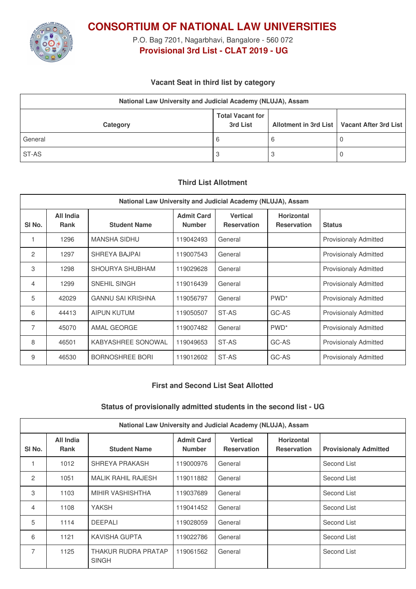

**CONSORTIUM OF NATIONAL LAW UNIVERSITIES**

P.O. Bag 7201, Nagarbhavi, Bangalore - 560 072 **Provisional 3rd List - CLAT 2019 - UG**

# **Vacant Seat in third list by category**

| National Law University and Judicial Academy (NLUJA), Assam |                                     |   |                                               |  |
|-------------------------------------------------------------|-------------------------------------|---|-----------------------------------------------|--|
| Category                                                    | <b>Total Vacant for</b><br>3rd List |   | Allotment in 3rd List   Vacant After 3rd List |  |
| General                                                     | 6                                   | O |                                               |  |
| ST-AS                                                       | З                                   |   |                                               |  |

# **Third List Allotment**

| National Law University and Judicial Academy (NLUJA), Assam |                          |                          |                                    |                                       |                                         |                              |
|-------------------------------------------------------------|--------------------------|--------------------------|------------------------------------|---------------------------------------|-----------------------------------------|------------------------------|
| SI <sub>No.</sub>                                           | All India<br><b>Rank</b> | <b>Student Name</b>      | <b>Admit Card</b><br><b>Number</b> | <b>Vertical</b><br><b>Reservation</b> | <b>Horizontal</b><br><b>Reservation</b> | <b>Status</b>                |
|                                                             | 1296                     | <b>MANSHA SIDHU</b>      | 119042493                          | General                               |                                         | <b>Provisionaly Admitted</b> |
| 2                                                           | 1297                     | SHREYA BAJPAI            | 119007543                          | General                               |                                         | <b>Provisionaly Admitted</b> |
| 3                                                           | 1298                     | SHOURYA SHUBHAM          | 119029628                          | General                               |                                         | <b>Provisionaly Admitted</b> |
| $\overline{4}$                                              | 1299                     | <b>SNEHIL SINGH</b>      | 119016439                          | General                               |                                         | <b>Provisionaly Admitted</b> |
| 5                                                           | 42029                    | <b>GANNU SAI KRISHNA</b> | 119056797                          | General                               | PWD <sup>*</sup>                        | <b>Provisionaly Admitted</b> |
| 6                                                           | 44413                    | <b>AIPUN KUTUM</b>       | 119050507                          | ST-AS                                 | GC-AS                                   | <b>Provisionaly Admitted</b> |
| 7                                                           | 45070                    | AMAL GEORGE              | 119007482                          | General                               | PWD <sup>*</sup>                        | <b>Provisionaly Admitted</b> |
| 8                                                           | 46501                    | KABYASHREE SONOWAL       | 119049653                          | ST-AS                                 | GC-AS                                   | Provisionaly Admitted        |
| 9                                                           | 46530                    | <b>BORNOSHREE BORI</b>   | 119012602                          | ST-AS                                 | GC-AS                                   | Provisionaly Admitted        |

### **First and Second List Seat Allotted**

### **Status of provisionally admitted students in the second list - UG**

| National Law University and Judicial Academy (NLUJA), Assam |                          |                                     |                                    |                                       |                                         |                              |
|-------------------------------------------------------------|--------------------------|-------------------------------------|------------------------------------|---------------------------------------|-----------------------------------------|------------------------------|
| SI No.                                                      | All India<br><b>Rank</b> | <b>Student Name</b>                 | <b>Admit Card</b><br><b>Number</b> | <b>Vertical</b><br><b>Reservation</b> | <b>Horizontal</b><br><b>Reservation</b> | <b>Provisionaly Admitted</b> |
|                                                             | 1012                     | SHREYA PRAKASH                      | 119000976                          | General                               |                                         | Second List                  |
| 2                                                           | 1051                     | <b>MALIK RAHIL RAJESH</b>           | 119011882                          | General                               |                                         | Second List                  |
| 3                                                           | 1103                     | MIHIR VASHISHTHA                    | 119037689                          | General                               |                                         | Second List                  |
| 4                                                           | 1108                     | YAKSH                               | 119041452                          | General                               |                                         | Second List                  |
| 5                                                           | 1114                     | DEEPALI                             | 119028059                          | General                               |                                         | Second List                  |
| 6                                                           | 1121                     | KAVISHA GUPTA                       | 119022786                          | General                               |                                         | Second List                  |
| $\overline{7}$                                              | 1125                     | THAKUR RUDRA PRATAP<br><b>SINGH</b> | 119061562                          | General                               |                                         | Second List                  |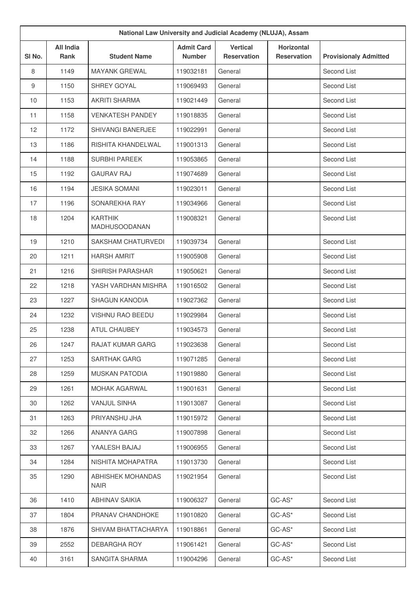| National Law University and Judicial Academy (NLUJA), Assam |                                 |                                        |                                    |                                       |                                         |                              |
|-------------------------------------------------------------|---------------------------------|----------------------------------------|------------------------------------|---------------------------------------|-----------------------------------------|------------------------------|
| SI No.                                                      | <b>All India</b><br><b>Rank</b> | <b>Student Name</b>                    | <b>Admit Card</b><br><b>Number</b> | <b>Vertical</b><br><b>Reservation</b> | <b>Horizontal</b><br><b>Reservation</b> | <b>Provisionaly Admitted</b> |
| 8                                                           | 1149                            | <b>MAYANK GREWAL</b>                   | 119032181                          | General                               |                                         | Second List                  |
| 9                                                           | 1150                            | SHREY GOYAL                            | 119069493                          | General                               |                                         | Second List                  |
| 10                                                          | 1153                            | <b>AKRITI SHARMA</b>                   | 119021449                          | General                               |                                         | Second List                  |
| 11                                                          | 1158                            | <b>VENKATESH PANDEY</b>                | 119018835                          | General                               |                                         | Second List                  |
| 12                                                          | 1172                            | SHIVANGI BANERJEE                      | 119022991                          | General                               |                                         | Second List                  |
| 13                                                          | 1186                            | RISHITA KHANDELWAL                     | 119001313                          | General                               |                                         | Second List                  |
| 14                                                          | 1188                            | <b>SURBHI PAREEK</b>                   | 119053865                          | General                               |                                         | Second List                  |
| 15                                                          | 1192                            | <b>GAURAV RAJ</b>                      | 119074689                          | General                               |                                         | Second List                  |
| 16                                                          | 1194                            | <b>JESIKA SOMANI</b>                   | 119023011                          | General                               |                                         | Second List                  |
| 17                                                          | 1196                            | SONAREKHA RAY                          | 119034966                          | General                               |                                         | Second List                  |
| 18                                                          | 1204                            | <b>KARTHIK</b><br><b>MADHUSOODANAN</b> | 119008321                          | General                               |                                         | Second List                  |
| 19                                                          | 1210                            | SAKSHAM CHATURVEDI                     | 119039734                          | General                               |                                         | Second List                  |
| 20                                                          | 1211                            | <b>HARSH AMRIT</b>                     | 119005908                          | General                               |                                         | Second List                  |
| 21                                                          | 1216                            | <b>SHIRISH PARASHAR</b>                | 119050621                          | General                               |                                         | Second List                  |
| 22                                                          | 1218                            | YASH VARDHAN MISHRA                    | 119016502                          | General                               |                                         | Second List                  |
| 23                                                          | 1227                            | <b>SHAGUN KANODIA</b>                  | 119027362                          | General                               |                                         | Second List                  |
| 24                                                          | 1232                            | VISHNU RAO BEEDU                       | 119029984                          | General                               |                                         | Second List                  |
| 25                                                          | 1238                            | <b>ATUL CHAUBEY</b>                    | 119034573                          | General                               |                                         | Second List                  |
| 26                                                          | 1247                            | <b>RAJAT KUMAR GARG</b>                | 119023638                          | General                               |                                         | Second List                  |
| 27                                                          | 1253                            | <b>SARTHAK GARG</b>                    | 119071285                          | General                               |                                         | Second List                  |
| 28                                                          | 1259                            | <b>MUSKAN PATODIA</b>                  | 119019880                          | General                               |                                         | Second List                  |
| 29                                                          | 1261                            | <b>MOHAK AGARWAL</b>                   | 119001631                          | General                               |                                         | Second List                  |
| 30                                                          | 1262                            | <b>VANJUL SINHA</b>                    | 119013087                          | General                               |                                         | Second List                  |
| 31                                                          | 1263                            | PRIYANSHU JHA                          | 119015972                          | General                               |                                         | Second List                  |
| 32                                                          | 1266                            | ANANYA GARG                            | 119007898                          | General                               |                                         | Second List                  |
| 33                                                          | 1267                            | YAALESH BAJAJ                          | 119006955                          | General                               |                                         | Second List                  |
| 34                                                          | 1284                            | NISHITA MOHAPATRA                      | 119013730                          | General                               |                                         | Second List                  |
| 35                                                          | 1290                            | ABHISHEK MOHANDAS<br><b>NAIR</b>       | 119021954                          | General                               |                                         | Second List                  |
| 36                                                          | 1410                            | <b>ABHINAV SAIKIA</b>                  | 119006327                          | General                               | $GC-AS^*$                               | Second List                  |
| 37                                                          | 1804                            | PRANAV CHANDHOKE                       | 119010820                          | General                               | $GC-AS^*$                               | Second List                  |
| 38                                                          | 1876                            | SHIVAM BHATTACHARYA                    | 119018861                          | General                               | $GC-AS^*$                               | Second List                  |
| 39                                                          | 2552                            | DEBARGHA ROY                           | 119061421                          | General                               | $GC-AS^*$                               | Second List                  |
| 40                                                          | 3161                            | SANGITA SHARMA                         | 119004296                          | General                               | $GC-AS^*$                               | Second List                  |